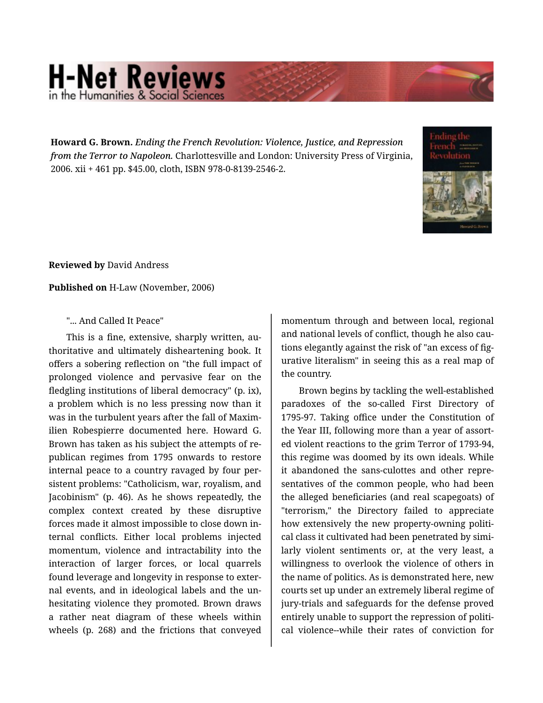## **H-Net Reviews** in the Humanities & Social Scie

**Howard G. Brown.** *Ending the French Revolution: Violence, Justice, and Repression from the Terror to Napoleon.* Charlottesville and London: University Press of Virginia, 2006. xii + 461 pp. \$45.00, cloth, ISBN 978-0-8139-2546-2.



**Reviewed by** David Andress

**Published on** H-Law (November, 2006)

## "... And Called It Peace"

This is a fine, extensive, sharply written, au‐ thoritative and ultimately disheartening book. It offers a sobering reflection on "the full impact of prolonged violence and pervasive fear on the fledgling institutions of liberal democracy" (p. ix), a problem which is no less pressing now than it was in the turbulent years after the fall of Maxim‐ ilien Robespierre documented here. Howard G. Brown has taken as his subject the attempts of re‐ publican regimes from 1795 onwards to restore internal peace to a country ravaged by four per‐ sistent problems: "Catholicism, war, royalism, and Jacobinism" (p. 46). As he shows repeatedly, the complex context created by these disruptive forces made it almost impossible to close down in‐ ternal conflicts. Either local problems injected momentum, violence and intractability into the interaction of larger forces, or local quarrels found leverage and longevity in response to exter‐ nal events, and in ideological labels and the un‐ hesitating violence they promoted. Brown draws a rather neat diagram of these wheels within wheels (p. 268) and the frictions that conveyed momentum through and between local, regional and national levels of conflict, though he also cau‐ tions elegantly against the risk of "an excess of fig‐ urative literalism" in seeing this as a real map of the country.

Brown begins by tackling the well-established paradoxes of the so-called First Directory of 1795-97. Taking office under the Constitution of the Year III, following more than a year of assort‐ ed violent reactions to the grim Terror of 1793-94, this regime was doomed by its own ideals. While it abandoned the sans-culottes and other repre‐ sentatives of the common people, who had been the alleged beneficiaries (and real scapegoats) of "terrorism," the Directory failed to appreciate how extensively the new property-owning political class it cultivated had been penetrated by simi‐ larly violent sentiments or, at the very least, a willingness to overlook the violence of others in the name of politics. As is demonstrated here, new courts set up under an extremely liberal regime of jury-trials and safeguards for the defense proved entirely unable to support the repression of politi‐ cal violence--while their rates of conviction for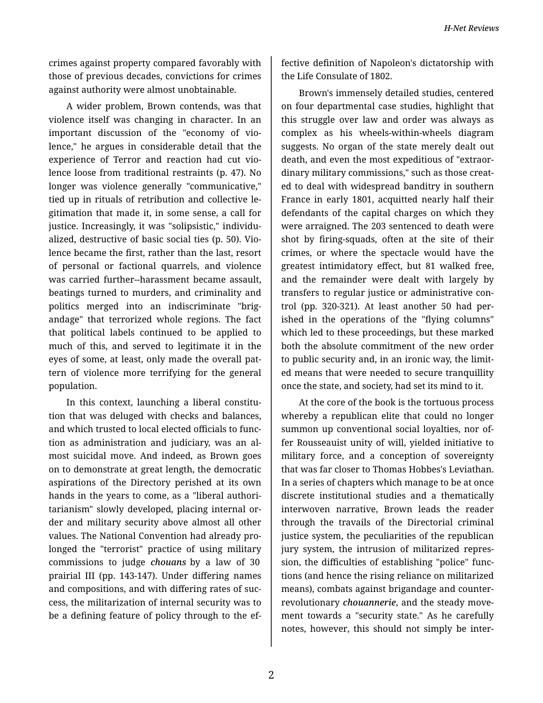crimes against property compared favorably with those of previous decades, convictions for crimes against authority were almost unobtainable.

A wider problem, Brown contends, was that violence itself was changing in character. In an important discussion of the "economy of vio‐ lence," he argues in considerable detail that the experience of Terror and reaction had cut vio‐ lence loose from traditional restraints (p. 47). No longer was violence generally "communicative," tied up in rituals of retribution and collective le‐ gitimation that made it, in some sense, a call for justice. Increasingly, it was "solipsistic," individualized, destructive of basic social ties (p. 50). Vio‐ lence became the first, rather than the last, resort of personal or factional quarrels, and violence was carried further--harassment became assault, beatings turned to murders, and criminality and politics merged into an indiscriminate "brig‐ andage" that terrorized whole regions. The fact that political labels continued to be applied to much of this, and served to legitimate it in the eyes of some, at least, only made the overall pat‐ tern of violence more terrifying for the general population.

In this context, launching a liberal constitution that was deluged with checks and balances, and which trusted to local elected officials to func‐ tion as administration and judiciary, was an al‐ most suicidal move. And indeed, as Brown goes on to demonstrate at great length, the democratic aspirations of the Directory perished at its own hands in the years to come, as a "liberal authori‐ tarianism" slowly developed, placing internal or‐ der and military security above almost all other values. The National Convention had already pro‐ longed the "terrorist" practice of using military commissions to judge *chouans* by a law of 30 prairial III (pp. 143-147). Under differing names and compositions, and with differing rates of suc‐ cess, the militarization of internal security was to be a defining feature of policy through to the ef‐ fective definition of Napoleon's dictatorship with the Life Consulate of 1802.

Brown's immensely detailed studies, centered on four departmental case studies, highlight that this struggle over law and order was always as complex as his wheels-within-wheels diagram suggests. No organ of the state merely dealt out death, and even the most expeditious of "extraor‐ dinary military commissions," such as those creat‐ ed to deal with widespread banditry in southern France in early 1801, acquitted nearly half their defendants of the capital charges on which they were arraigned. The 203 sentenced to death were shot by firing-squads, often at the site of their crimes, or where the spectacle would have the greatest intimidatory effect, but 81 walked free, and the remainder were dealt with largely by transfers to regular justice or administrative con‐ trol (pp. 320-321). At least another 50 had per‐ ished in the operations of the "flying columns" which led to these proceedings, but these marked both the absolute commitment of the new order to public security and, in an ironic way, the limit‐ ed means that were needed to secure tranquillity once the state, and society, had set its mind to it.

At the core of the book is the tortuous process whereby a republican elite that could no longer summon up conventional social loyalties, nor of‐ fer Rousseauist unity of will, yielded initiative to military force, and a conception of sovereignty that was far closer to Thomas Hobbes's Leviathan. In a series of chapters which manage to be at once discrete institutional studies and a thematically interwoven narrative, Brown leads the reader through the travails of the Directorial criminal justice system, the peculiarities of the republican jury system, the intrusion of militarized repres‐ sion, the difficulties of establishing "police" func‐ tions (and hence the rising reliance on militarized means), combats against brigandage and counterrevolutionary *chouannerie*, and the steady move‐ ment towards a "security state." As he carefully notes, however, this should not simply be inter‐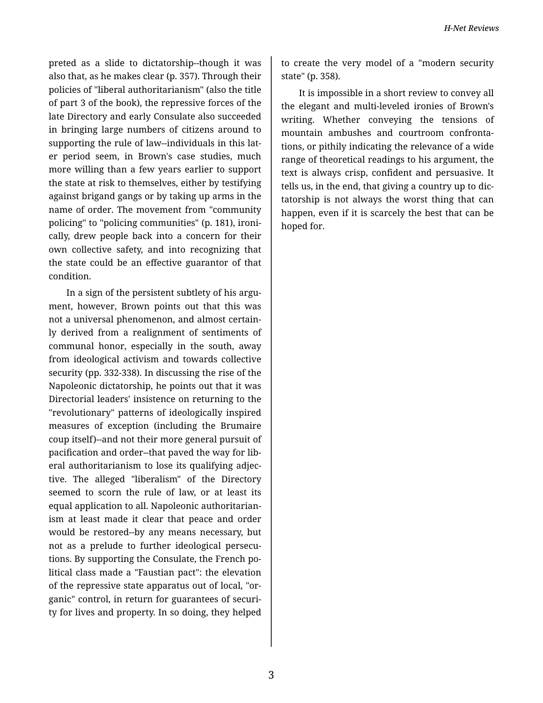preted as a slide to dictatorship--though it was also that, as he makes clear (p. 357). Through their policies of "liberal authoritarianism" (also the title of part 3 of the book), the repressive forces of the late Directory and early Consulate also succeeded in bringing large numbers of citizens around to supporting the rule of law--individuals in this lat‐ er period seem, in Brown's case studies, much more willing than a few years earlier to support the state at risk to themselves, either by testifying against brigand gangs or by taking up arms in the name of order. The movement from "community policing" to "policing communities" (p. 181), ironi‐ cally, drew people back into a concern for their own collective safety, and into recognizing that the state could be an effective guarantor of that condition.

In a sign of the persistent subtlety of his argument, however, Brown points out that this was not a universal phenomenon, and almost certain‐ ly derived from a realignment of sentiments of communal honor, especially in the south, away from ideological activism and towards collective security (pp. 332-338). In discussing the rise of the Napoleonic dictatorship, he points out that it was Directorial leaders' insistence on returning to the "revolutionary" patterns of ideologically inspired measures of exception (including the Brumaire coup itself)--and not their more general pursuit of pacification and order--that paved the way for lib‐ eral authoritarianism to lose its qualifying adjec‐ tive. The alleged "liberalism" of the Directory seemed to scorn the rule of law, or at least its equal application to all. Napoleonic authoritarian‐ ism at least made it clear that peace and order would be restored--by any means necessary, but not as a prelude to further ideological persecu‐ tions. By supporting the Consulate, the French po‐ litical class made a "Faustian pact": the elevation of the repressive state apparatus out of local, "or‐ ganic" control, in return for guarantees of securi‐ ty for lives and property. In so doing, they helped

to create the very model of a "modern security state" (p. 358).

It is impossible in a short review to convey all the elegant and multi-leveled ironies of Brown's writing. Whether conveying the tensions of mountain ambushes and courtroom confronta‐ tions, or pithily indicating the relevance of a wide range of theoretical readings to his argument, the text is always crisp, confident and persuasive. It tells us, in the end, that giving a country up to dic‐ tatorship is not always the worst thing that can happen, even if it is scarcely the best that can be hoped for.